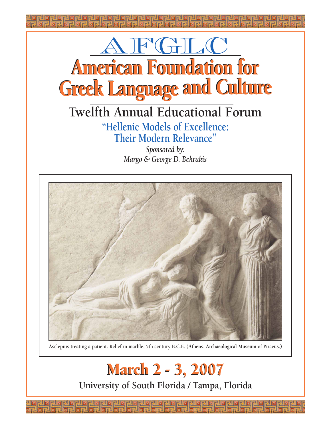

# **Twelfth Annual Educational Forum "Hellenic Models of Excellence: Their Modern Relevance"**

*Sponsored by: Margo & George D. Behrakis*



**Asclepius treating a patient. Relief in marble, 5th century B.C.E. (Athens, Archaeological Museum of Piraeus.)**

March 2 - 3, 2007 March 2 - 3, 2007 **University of South Florida / Tampa, Florida**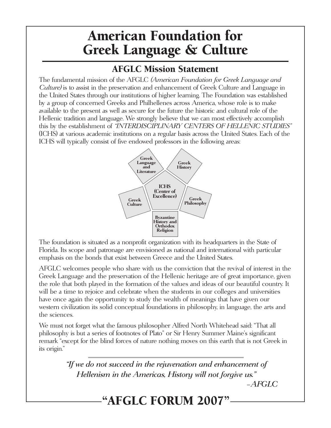# American Foundation for Greek Language & Culture

# AFGLC Mission Statement

The fundamental mission of the AFGLC (American Foundation for Greek Language and Culture) is to assist in the preservation and enhancement of Greek Culture and Language in the United States through our institutions of higher learning. The Foundation was established by a group of concerned Greeks and Philhellenes across America, whose role is to make available to the present as well as secure for the future the historic and cultural role of the Hellenic tradition and language. We strongly believe that we can most effectively accomplish this by the establishment of "INTERDISCIPLINARY CENTERS OF HELLENIC STUDIES" (ICHS) at various academic institutions on a regular basis across the United States. Each of the ICHS will typically consist of five endowed professors in the following areas:



The foundation is situated as a nonprofit organization with its headquarters in the State of Florida. Its scope and patronage are envisioned as national and international with particular emphasis on the bonds that exist between Greece and the United States.

AFGLC welcomes people who share with us the conviction that the revival of interest in the Greek Language and the preservation of the Hellenic heritage are of great importance, given the role that both played in the formation of the values and ideas of our beautiful country. It will be a time to rejoice and celebrate when the students in our colleges and universities have once again the opportunity to study the wealth of meanings that have given our western civilization its solid conceptual foundations in philosophy, in language, the arts and the sciences.

We must not forget what the famous philosopher Alfred North Whitehead said: "That all philosophy is but a series of footnotes of Plato" or Sir Henry Summer Maine's significant remark "except for the blind forces of nature nothing moves on this earth that is not Greek in its origin."

> "If we do not succeed in the rejuvenation and enhancement of Hellenism in the Americas, History will not forgive us."

–AFGLC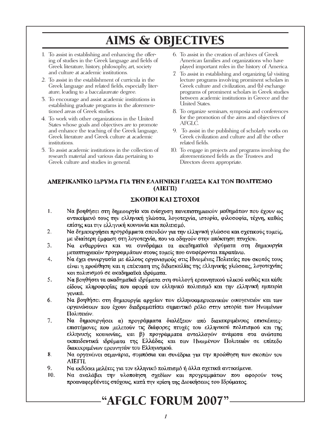# AIMS & OBJECTIVES

- 1. To assist in establishing and enhancing the offering of studies in the Greek language and fields of Greek literature, history, philosophy, art, society and culture at academic institutions.
- 2. To assist in the establishment of curricula in the Greek language and related fields, especially literature, leading to a baccalaureate degree.
- 3. To encourage and assist academic institutions in establishing graduate programs in the aforementioned areas of Greek studies.
- 4. To work with other organizations in the United States whose goals and objectives are to promote and enhance the teaching of the Greek language, Greek literature and Greek culture at academic institutions.
- 5. To assist academic institutions in the collection of research material and various data pertaining to Greek culture and studies in general.
- 6. To assist in the creation of archives of Greek American families and organizations who have played important roles in the history of America.
- 7. To assist in establishing and organizing (a) visiting lecture programs involving prominent scholars in Greek culture and civilization, and (b) exchange programs of prominent scholars in Greek studies between academic institutions in Greece and the United States.
- 8. To organize seminars, symposia and conferences for the promotion of the aims and objectives of AFGLC.
- 9. To assist in the publishing of scholarly works on Greek civilization and culture and all the other related fields.
- 10. To engage in projects and programs involving the aforementioned fields as the Trustees and Directors deem appropriate.

### ΑΜΕΡΙΚΑΝΙΚΟ ΙΔΡΥΜΑ ΓΙΑ ΤΗΝ ΕΛΛΗΝΙΚΗ ΓΛΩΣΣΑ ΚΑΙ ΤΟΝ ΠΟΛΙΤΙΣΜΟ  $(AIETII)$

## ΣΚΟΠΟΙ ΚΑΙ ΣΤΟΧΟΙ

- $\mathbf{1}$ . Να βοηθήσει στη δημιουργία και ενίσχυση πανεπιστημιακών μαθημάτων που έχουν ως αντικείμενό τους την ελληνική γλώσσα, λογοτεχνία, ιστορία, φιλοσοφία, τέχνη, καθώς επίσης και την ελληνική κοινωνία και πολιτισμό.
- $2.$ Να δημιουργήσει προγράμματα σπουδών για την ελληνική γλώσσα και σχετικούς τομείς, με ιδιαίτερη έμφαση στη λογοτεχνία, που να οδηγούν στην απόκτηση πτυχίου.
- Να ενθαρρύνει και να συνδράμει τα ακαδημαϊκά ιδρύματα στη δημιουργία  $3<sub>1</sub>$ μεταπτυχιακών προγραμμάτων στους τομείς που αναφέρονται παραπάνω.
- 4. Να έχει συνεργασία με άλλους οργανισμούς στις Ηνωμένες Πολιτείες που σκοπός τους είναι η προώθηση και η επέκταση της διδασκαλίας της ελληνικής γλώσσας, λογοτεχνίας και πολιτισμού σε ακαδημαϊκά ιδρύματα.
- 5. Να βοηθήσει τα ακαδημαϊκά ιδρύματα στη συλλογή ερευνητικού υλικού καθώς και κάθε είδους πληροφορίας που αφορά τον ελληνικό πολιτισμό και την ελληνική εμπειρία γενικά.
- 6. Να βοηθήσει στη δημιουργία αρχείων των ελληνοαμερικανικών οικογενειών και των οργανώσεων που έγουν διαδραματίσει σημαντικό ρόλο στην ιστορία των Ηνωμένων Πολιτειών.
- 7. Να δημιουργήσει α) προγράμματα διαλέξεων από διακεκριμένους επισκέπτεςεπιστήμονες που μελετούν τις διάφορες πτυχές του ελληνικού πολιτισμού και της ελληνικής κοινωνίας, και β) προγράμματα ανταλλαγών ανάμεσα στα ανώτατα εκπαιδευτικά ιδρύματα της Ελλάδας και των Ηνωμένων Πολιτειών σε επίπεδο διακεκριμένων ερευνητών του Ελληνισμού.
- Να οργανώνει σεμινάρια, συμπόσια και συνέδρια για την προώθηση των σκοπών του 8. АІЕГП.
- 9. Να εκδόσει μελέτες για τον ελληνικό πολιτισμό ή άλλα σχετικά αντικείμενα.
- 10. Να αναλάβει την υλοποίηση σχεδίων και προγραμμάτων που αφορούν τους προαναφερθέντες στόχους, κατά την κρίση της Διοικήσεως του Ιδρύματος.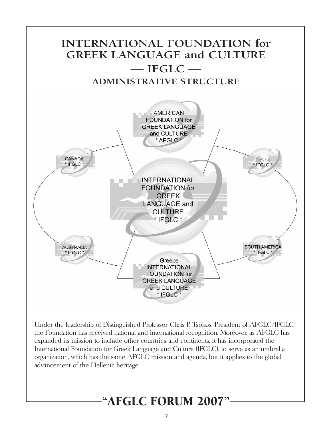

Under the leadership of Distinguished Professor Chris P. Tsokos, President of AFGLC/IFGLC, the Foundation has received national and international recognition. Moreover, as AFGLC has expanded its mission to include other countries and continents, it has incorporated the International Foundation for Greek Language and Culture (IFGLC), to serve as an umbrella organization, which has the same AFGLC mission and agenda, but it applies to the global advancement of the Hellenic heritage.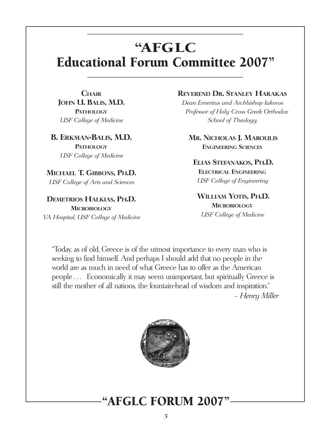# "AFGLC Educational Forum Committee 2007"

**CHAIR JOHN U. BALIS, M.D. PATHOLOGY** USF College of Medicine

**B. ERKMAN-BALIS, M.D. PATHOLOGY** USF College of Medicine

**MICHAEL T. GIBBONS, PH.D.** USF College of Arts and Sciences

**DEMETRIOS HALKIAS, PH.D. MICROBIOLOGY** VA Hospital, USF College of Medicine

## **REVEREND DR. STANLEY HARAKAS**

Dean Emeritus and Archbishop Iakovos Professor of Holy Cross Greek Orthodox School of Theology,

**MR. NICHOLAS J. MAROULIS ENGINEERING SCIENCES**

### **ELIAS STEFANAKOS, PH.D.**

**ELECTRICAL ENGINEERING** USF College of Engineering

**WILLIAM YOTIS, PH.D. MICROBIOLOGY** USF College of Medicine

"Today, as of old, Greece is of the utmost importance to every man who is seeking to find himself. And perhaps I should add that no people in the world are as much in need of what Greece has to offer as the American people . . . Economically it may seem unimportant, but spiritually Greece is still the mother of all nations, the fountain-head of wisdom and inspiration." – Henry Miller

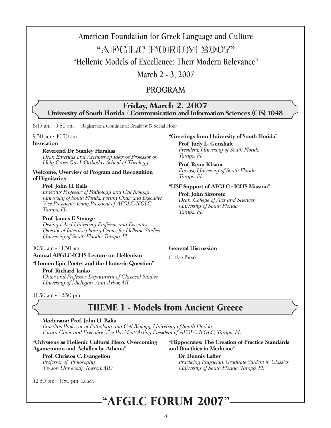# **American Foundation for Greek Language and Culture**

# "AFGLC FORUM 2007"

**"Hellenic Models of Excellence: Their Modern Relevance"**

**March 2 - 3, 2007**

## PROGRAM

### **Friday, March 2, 2007 University of South Florida / Communication and Information Sciences (CIS) 1048**

8:15 am - 9:30 am Registration, Continental Breakfast & Social Hour

9:30 am - 10:30 am

#### **Invocation**

#### **Reverend Dr. Stanley Harakas**

Dean Emeritus and Archbishop Iakovos Professor of Holy Cross Greek Orthodox School of Theology

#### **Welcome, Overview of Program and Recognition of Dignitaries**

#### **Prof. John U. Balis**

Emeritus Professor of Pathology and Cell Biology University of South Florida, Forum Chair and Executive Vice President/Acting President of AFGLC/IFGLC Tampa, FL

#### **Prof. James F. Strange**

Distinguished University Professor and Executive Director of Interdisciplinary Center for Hellenic Studies University of South Florida, Tampa, FL

### 10:30 am - 11:30 am

#### **Annual AFGLC-ICHS Lecture on Hellenism**

#### **"Homer: Epic Poetry and the Homeric Question"**

#### **Prof. Richard Janko**

Chair and Professor, Department of Classical Studies University of Michigan, Ann Arbor, MI

11:30 am - 12:30 pm

## THEME 1 - Models from Ancient Greece

#### **Moderator: Prof. John U. Balis**

Emeritus Professor of Pathology and Cell Biology, University of South Florida Forum Chair and Executive Vice President/Acting President of AFGLC/IFGLC, Tampa, FL

#### **"Odysseus as Hellenic Cultural Hero: Overcoming Agamemnon and Achilles by Athena"**

**Prof. Christos C. Evangeliou** Professor of Philosophy Towson University, Towson, MD

12:30 pm - 1:30 pm Lunch

#### **"Hippocrates: The Creation of Practice Standards and Bioethics in Medicine"**

**Dr. Dennis Laffer** Practicing Physician, Graduate Student in Classics

University of South Florida, Tampa, FL

# "AFGLC FORUM 2007"

#### 4

### **"Greetings from University of South Florida"**

**Prof. Judy L. Genshaft** President, University of South Florida Tampa, FL

### **Prof. Renu Khator**

Provost, University of South Florida Tampa, FL

#### **"USF Support of AFGLC - ICHS Mission"**

**Prof. John Skvoretz** Dean, College of Arts and Sciences University of South Florida Tampa, FL

#### **General Discussion**

Coffee Break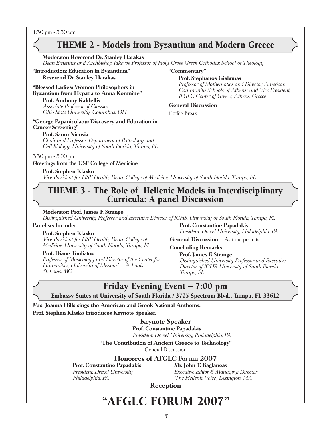1:30 pm - 3:30 pm

## THEME 2 - Models from Byzantium and Modern Greece

**"Commentary"**

**General Discussion**

Coffee Break

**Prof. Stephanos Gialamas**

Professor of Mathematics and Director, American Community Schools of Athens; and Vice President,

IFGLC Center of Greece, Athens, Greece

#### **Moderator: Reverend Dr. Stanley Harakas**

Dean Emeritus and Archbishop Iakovos Professor of Holy Cross Greek Orthodox School of Theology

**"Introduction: Education in Byzantium" Reverend Dr. Stanley Harakas**

#### **"Blessed Ladies: Women Philosophers in Byzantium from Hypatia to Anna Komnine"**

**Prof. Anthony Kaldellis** Associate Professor of Classics Ohio State University, Columbus, OH

#### **"George Papanicolaou: Discovery and Education in Cancer Screening"**

#### **Prof. Santo Nicosia**

Chair and Professor, Department of Pathology and Cell Biology, University of South Florida, Tampa, FL

#### 3:30 pm - 5:00 pm

#### Greetings from the USF College of Medicine

**Prof. Stephen Klasko**

Vice President for USF Health, Dean, College of Medicine, University of South Florida, Tampa, FL

## THEME 3 - The Role of Hellenic Models in Interdisciplinary Curricula: A panel Discussion

#### **Moderator: Prof. James F. Strange**

Distinguished University Professor and Executive Director of ICHS, University of South Florida, Tampa, FL

#### **Panelists Include:**

#### **Prof. Stephen Klasko**

Vice President for USF Health, Dean, College of Medicine, University of South Florida, Tampa, FL

#### **Prof. Diane Touliatos**

Professor of Musicology and Director of the Center for Humanities, University of Missouri – St. Louis St. Louis, MO

**Prof. Constantine Papadakis** President, Drexel University, Philadelphia, PA

**General Discussion** – As time permits

#### **Concluding Remarks**

**Prof. James F. Strange** Distinguished University Professor and Executive Director of ICHS, University of South Florida Tampa, FL

## Friday Evening Event – 7:00 pm

Embassy Suites at University of South Florida / 3705 Spectrum Blvd., Tampa, FL 33612

**Mrs. Joanna Hills sings the American and Greek National Anthems. Prof. Stephen Klasko introduces Keynote Speaker.**

#### **Keynote Speaker**

**Prof. Constantine Papadakis** President, Drexel University, Philadelphia, PA

**"The Contribution of Ancient Greece to Technology"** General Discussion

**Honorees of AFGLC Forum 2007**

**Prof. Constantine Papadakis** 

President, Drexel University **Executive Editor 8 Managing Director** Philadelphia, PA 'The Hellenic Voice', Lexington, MA

**Reception**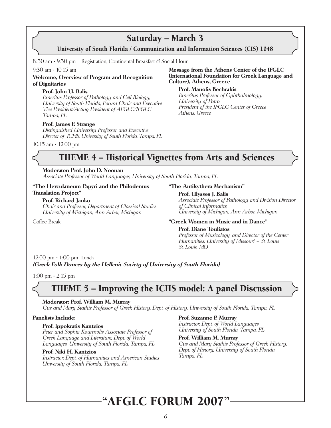## Saturday – March 3

University of South Florida / Communication and Information Sciences (CIS) 1048

8::30 am - 9:30 pm Registration, Continental Breakfast & Social Hour

#### 9:30 am - 10:15 am

### **Welcome, Overview of Program and Recognition of Dignitaries**

#### **Prof. John U. Balis**

Emeritus Professor of Pathology and Cell Biology, University of South Florida, Forum Chair and Executive Vice President/Acting President of AFGLC/IFGLC Tampa, FL

#### **Prof. James F. Strange**

Distinguished University Professor and Executive Director of ICHS, University of South Florida, Tampa, FL

10:15 am - 12:00 pm

# THEME 4 – Historical Vignettes from Arts and Sciences

#### **Moderator: Prof. John D. Noonan**

Associate Professor of World Languages, University of South Florida, Tampa, FL

#### **"The Herculaneum Papyri and the Philodemus Translation Project"**

#### **Prof. Richard Janko**

Chair and Professor, Department of Classical Studies University of Michigan, Ann Arbor, Michigan

Coffee Break

#### **"The Antikythera Mechanism"**

#### **Prof. Ulysses J. Balis**

**Culture), Athens, Greece**

University of Patra

Athens, Greece

**Prof. Manolis Bechrakis**

Associate Professor of Pathology and Division Director of Clinical Informatics, University of Michigan, Ann Arbor, Michigan

**Message from the Athens Center of the IFGLC (International Foundation for Greek Language and**

Emeritus Professor of Ophthalmology,

President of the IFGLC Center of Greece

#### **"Greek Women in Music and in Dance"**

#### **Prof. Diane Touliatos**

Professor of Musicology, and Director of the Center Humanities, University of Missouri – St. Louis St. Louis, MO

12:00 pm - 1:00 pm Lunch **(Greek Folk Dances by the Hellenic Society of University of South Florida)**

1:00 pm - 2:15 pm

# THEME 5 – Improving the ICHS model: A panel Discussion

#### **Moderator: Prof. William M. Murray**

Gus and Mary Stathis Professor of Greek History, Dept. of History, University of South Florida, Tampa, FL

#### **Panelists Include:**

#### **Prof. Ippokratis Kantzios**

Peter and Sophia Kourmolis Associate Professor of Greek Language and Literature, Dept. of World Languages, University of South Florida, Tampa, FL

#### **Prof. Niki H. Kantzios**

Instructor, Dept. of Humanities and American Studies University of South Florida, Tampa, FL

#### **Prof. Suzanne P. Murray**

Instructor, Dept. of World Languages University of South Florida, Tampa, FL

#### **Prof. William M. Murray** Gus and Mary Stathis Professor of Greek History, Dept. of History, University of South Florida Tampa, FL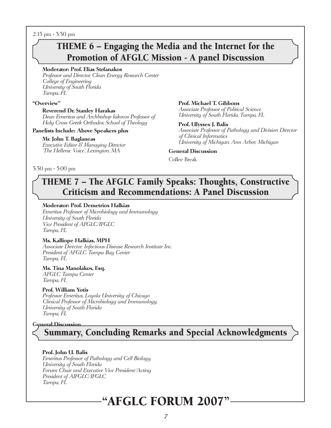2:15 pm - 3:30 pm

# THEME 6 – Engaging the Media and the Internet for the Promotion of AFGLC Mission - A panel Discussion

#### **Moderator: Prof. Elias Stefanakos**

Professor and Director, Clean Energy Research Center College of Engineering University of South Florida Tampa, FL

#### **"Overview"**

#### **Reverend Dr. Stanley Harakas**

Dean Emeritus and Archbishop Iakovos Professor of Holy Cross Greek Orthodox School of Theology

#### **Panelists Include: Above Speakers plus**

#### **Mr. John T. Baglaneas**

Executive Editor & Managing Director 'The Hellenic Voice', Lexington, MA

**Prof. Michael T. Gibbons** Associate Professor of Political Science, University of South Florida, Tampa, FL

**Prof. Ulysses J. Balis** Associate Professor of Pathology and Division Director of Clinical Informatics University of Michigan, Ann Arbor, Michigan

#### **General Discussion**

Coffee Break

3:30 pm - 5:00 pm

## THEME 7 – The AFGLC Family Speaks: Thoughts, Constructive Criticism and Recommendations: A Panel Discussion

#### **Moderator: Prof. Demetrios Halkias**

Emeritus Professor of Microbiology and Immunology University of South Florida Vice President of AFGLC/IFGLC Tampa, FL

#### **Ms. Kalliope Halkias, MPH**

Associate Director, Infectious Disease Research Institute Inc. President of AFGLC Tampa Bay Center Tampa, FL

#### **Ms. Tina Manolakos, Esq.**

AFGLC Tampa Center Tampa, FL

#### **Prof. William Yotis**

Professor Emeritus, Loyola University of Chicago Clinical Professor of Microbiology and Immunology, University of South Florida Tampa, FL

#### **General Discussion**

Summary, Concluding Remarks and Special Acknowledgments

#### **Prof. John U. Balis**

Emeritus Professor of Pathology and Cell Biology, University of South Florida Forum Chair and Executive Vice President/Acting President of AIFGLC/IFGLC Tampa, FL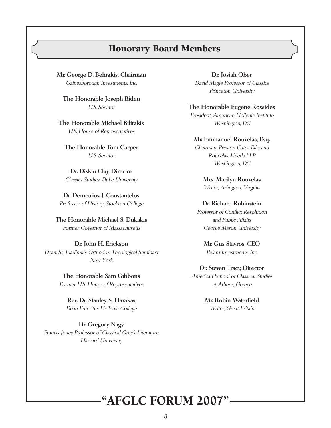## Honorary Board Members

**Mr. George D. Behrakis, Chairman** Gainesborough Investments, Inc.

**The Honorable Joseph Biden**  U.S. Senator

**The Honorable Michael Bilirakis**  U.S. House of Representatives

**The Honorable Tom Carper**  U.S. Senator

**Dr. Diskin Clay, Director**  Classics Studies, Duke University

**Dr. Demetrios J. Constantelos**  Professor of History, Stockton College

**The Honorable Michael S. Dukakis**  Former Governor of Massachusetts

### **Dr. John H. Erickson** Dean, St. Vladimir's Orthodox Theological Seminary New York

**The Honorable Sam Gibbons**  Former U.S. House of Representatives

**Rev. Dr. Stanley S. Harakas** Dean Emeritus Hellenic College

**Dr. Gregory Nagy**  Francis Jones Professor of Classical Greek Literature, Harvard University

**Dr. Josiah Ober** David Magie Professor of Classics Princeton University

#### **The Honorable Eugene Rossides**

President, American Hellenic Institute Washington, DC

#### **Mr. Emmanuel Rouvelas, Esq.**

Chairman, Preston Gates Ellis and Rouvelas Meeds LLP Washington, DC

**Mrs. Marilyn Rouvelas** Writer, Arlington, Virginia

#### **Dr. Richard Rubinstein**

Professor of Conflict Resolution and Public Affairs George Mason University

> **Mr. Gus Stavros, CEO**  Pelam Investments, Inc.

### **Dr. Steven Tracy, Director**

American School of Classical Studies at Athens, Greece

> **Mr. Robin Waterfield**  Writer, Great Britain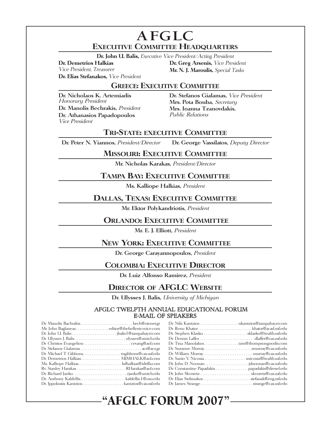# **AFGLC EXECUTIVE COMMITTEE HEADQUARTERS**

**Dr. John U. Balis,** Executive Vice President/Acting President

**Dr. Elias Stefanakos,** Vice President

**Dr. Demetrios Halkias Dr. Greg Arsenis,** Vice President Mr. N. J. Maroulis, Special Tasks

### **GREECE: EXECUTIVE COMMITTEE**

**Dr. Nicholaos K. Artemiadis**  Honorary President **Dr. Manolis Bechrakis,** President **Dr. Athanasios Papadopoulos** Vice President

**Dr. Stefanos Gialamas,** Vice President **Mrs. Pota Bouba,** Secretary **Mrs. Ioanna Tzanovdakis,** Public Relations

### **TRI-STATE: EXECUTIVE COMMITTEE**

**Dr. Peter N. Yiannos,** President/Director **Dr. George Vassilatos,** Deputy Director

### **MISSOURI: EXECUTIVE COMMITTEE**

**Mr. Nicholas Karakas,** President/Director

### **TAMPA BAY: EXECUTIVE COMMITTEE**

**Ms. Kalliope Halkias,** President

## **DALLAS, TEXAS: EXECUTIVE COMMITTEE**

**Mr. Ektor Polykandriotis,** President

### **ORLANDO: EXECUTIVE COMMITTEE**

**Mr. E. J. Elliott,** President

### **NEW YORK: EXECUTIVE COMMITTEE**

**Dr. George Carayannopoulos,** President

### **COLOMBIA: EXECUTIVE DIRECTOR**

**Dr. Luiz Alfonso Ramirez,** President

## **DIRECTOR OF AFGLC WEBSITE**

**Dr. Ulysses J. Balis,** University of Michigan

#### AFGLC TWELFTH ANNUAL EDUCATIONAL FORUM E-MAIL OF SPEAKERS

| Dr. Suzanne Murraysmurray@cas.usf.edu        |
|----------------------------------------------|
|                                              |
| Dr. Santo V. Nicosia snicosia@health.usf.edu |
|                                              |
|                                              |
|                                              |
|                                              |
|                                              |